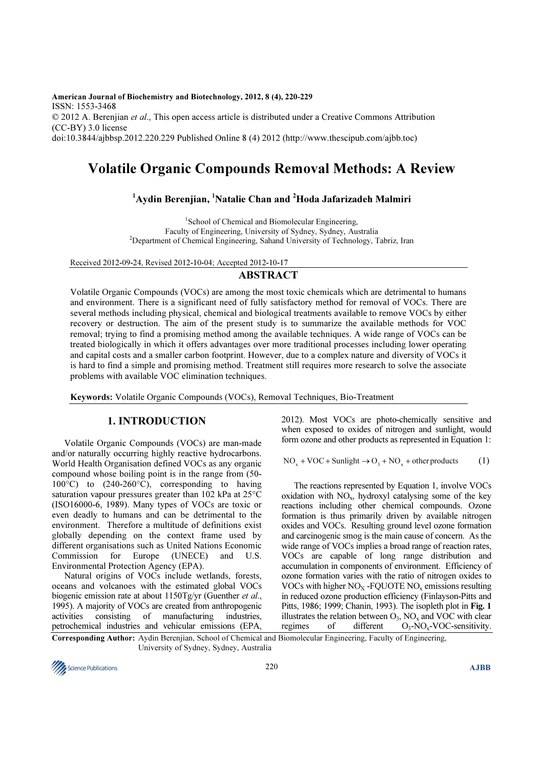American Journal of Biochemistry and Biotechnology, 2012, 8 (4), 220-229 ISSN: 1553-3468 © 2012 A. Berenjian et al., This open access article is distributed under a Creative Commons Attribution (CC-BY) 3.0 license doi:10.3844/ajbbsp.2012.220.229 Published Online 8 (4) 2012 (http://www.thescipub.com/ajbb.toc)

# Volatile Organic Compounds Removal Methods: A Review

# $1$ Aydin Berenjian, <sup>1</sup>Natalie Chan and <sup>2</sup>Hoda Jafarizadeh Malmiri

<sup>1</sup>School of Chemical and Biomolecular Engineering, Faculty of Engineering, University of Sydney, Sydney, Australia <sup>2</sup>Department of Chemical Engineering, Sahand University of Technology, Tabriz, Iran

Received 2012-09-24, Revised 2012-10-04; Accepted 2012-10-17

# ABSTRACT

Volatile Organic Compounds (VOCs) are among the most toxic chemicals which are detrimental to humans and environment. There is a significant need of fully satisfactory method for removal of VOCs. There are several methods including physical, chemical and biological treatments available to remove VOCs by either recovery or destruction. The aim of the present study is to summarize the available methods for VOC removal; trying to find a promising method among the available techniques. A wide range of VOCs can be treated biologically in which it offers advantages over more traditional processes including lower operating and capital costs and a smaller carbon footprint. However, due to a complex nature and diversity of VOCs it is hard to find a simple and promising method. Treatment still requires more research to solve the associate problems with available VOC elimination techniques.

Keywords: Volatile Organic Compounds (VOCs), Removal Techniques, Bio-Treatment

# 1. INTRODUCTION

Volatile Organic Compounds (VOCs) are man-made and/or naturally occurring highly reactive hydrocarbons. World Health Organisation defined VOCs as any organic compound whose boiling point is in the range from (50-  $100^{\circ}$ C) to  $(240-260^{\circ}$ C), corresponding to having saturation vapour pressures greater than 102 kPa at 25<sup>°</sup>C (ISO16000-6, 1989). Many types of VOCs are toxic or even deadly to humans and can be detrimental to the environment. Therefore a multitude of definitions exist globally depending on the context frame used by different organisations such as United Nations Economic Commission for Europe (UNECE) and U.S. Environmental Protection Agency (EPA).

Natural origins of VOCs include wetlands, forests, oceans and volcanoes with the estimated global VOCs biogenic emission rate at about 1150Tg/yr (Guenther et al., 1995). A majority of VOCs are created from anthropogenic activities consisting of manufacturing industries, petrochemical industries and vehicular emissions (EPA,

2012). Most VOCs are photo-chemically sensitive and when exposed to oxides of nitrogen and sunlight, would form ozone and other products as represented in Equation 1:

$$
NO_x + VOC + Sunlight \rightarrow O_3 + NO_x + other products \tag{1}
$$

The reactions represented by Equation 1, involve VOCs oxidation with  $NO<sub>x</sub>$ , hydroxyl catalysing some of the key reactions including other chemical compounds. Ozone formation is thus primarily driven by available nitrogen oxides and VOCs. Resulting ground level ozone formation and carcinogenic smog is the main cause of concern. As the wide range of VOCs implies a broad range of reaction rates, VOCs are capable of long range distribution and accumulation in components of environment. Efficiency of ozone formation varies with the ratio of nitrogen oxides to VOCs with higher  $NO<sub>x</sub>$  -FOUOTE NO<sub>x</sub> emissions resulting in reduced ozone production efficiency (Finlayson-Pitts and Pitts, 1986; 1999; Chanin, 1993). The isopleth plot in Fig. 1 illustrates the relation between  $O_3$ ,  $NO_x$  and VOC with clear regimes of different  $O_3-NO_x-VOC$ -sensitivity.

Corresponding Author: Aydin Berenjian, School of Chemical and Biomolecular Engineering, Faculty of Engineering, University of Sydney, Sydney, Australia

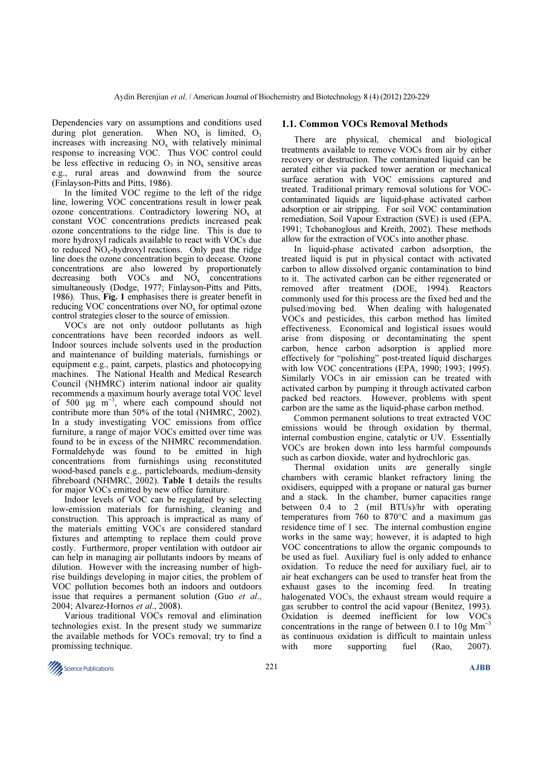Dependencies vary on assumptions and conditions used during plot generation. When  $NO_x$  is limited,  $O_3$ increases with increasing  $NO<sub>x</sub>$  with relatively minimal response to increasing VOC. Thus VOC control could be less effective in reducing  $O_3$  in  $NO_x$  sensitive areas e.g., rural areas and downwind from the source (Finlayson-Pitts and Pitts, 1986).

In the limited VOC regime to the left of the ridge line, lowering VOC concentrations result in lower peak ozone concentrations. Contradictory lowering  $NO<sub>x</sub>$  at constant VOC concentrations predicts increased peak ozone concentrations to the ridge line. This is due to more hydroxyl radicals available to react with VOCs due to reduced  $NO<sub>x</sub>$ -hydroxyl reactions. Only past the ridge line does the ozone concentration begin to decease. Ozone concentrations are also lowered by proportionately decreasing both VOCs and  $NO<sub>x</sub>$  concentrations simultaneously (Dodge, 1977; Finlayson-Pitts and Pitts, 1986). Thus, Fig. 1 emphasises there is greater benefit in reducing VOC concentrations over  $NO<sub>x</sub>$  for optimal ozone control strategies closer to the source of emission.

VOCs are not only outdoor pollutants as high concentrations have been recorded indoors as well. Indoor sources include solvents used in the production and maintenance of building materials, furnishings or equipment e.g., paint, carpets, plastics and photocopying machines. The National Health and Medical Research Council (NHMRC) interim national indoor air quality recommends a maximum hourly average total VOC level of 500  $\mu$ g m<sup>-3</sup>, where each compound should not contribute more than 50% of the total (NHMRC, 2002). In a study investigating VOC emissions from office furniture, a range of major VOCs emitted over time was found to be in excess of the NHMRC recommendation. Formaldehyde was found to be emitted in high concentrations from furnishings using reconstituted wood-based panels e.g., particleboards, medium-density fibreboard (NHMRC, 2002). Table 1 details the results for major VOCs emitted by new office furniture.

Indoor levels of VOC can be regulated by selecting low-emission materials for furnishing, cleaning and construction. This approach is impractical as many of the materials emitting VOCs are considered standard fixtures and attempting to replace them could prove costly. Furthermore, proper ventilation with outdoor air can help in managing air pollutants indoors by means of dilution. However with the increasing number of highrise buildings developing in major cities, the problem of VOC pollution becomes both an indoors and outdoors issue that requires a permanent solution (Guo et al., 2004; Alvarez-Hornos et al., 2008).

Various traditional VOCs removal and elimination technologies exist. In the present study we summarize the available methods for VOCs removal; try to find a promissing technique.

#### 1.1. Common VOCs Removal Methods

There are physical, chemical and biological treatments available to remove VOCs from air by either recovery or destruction. The contaminated liquid can be aerated either via packed tower aeration or mechanical surface aeration with VOC emissions captured and treated. Traditional primary removal solutions for VOCcontaminated liquids are liquid-phase activated carbon adsorption or air stripping. For soil VOC contamination remediation, Soil Vapour Extraction (SVE) is used (EPA, 1991; Tchobanoglous and Kreith, 2002). These methods allow for the extraction of VOCs into another phase.

In liquid-phase activated carbon adsorption, the treated liquid is put in physical contact with activated carbon to allow dissolved organic contamination to bind to it. The activated carbon can be either regenerated or removed after treatment (DOE, 1994). Reactors commonly used for this process are the fixed bed and the pulsed/moving bed. When dealing with halogenated VOCs and pesticides, this carbon method has limited effectiveness. Economical and logistical issues would arise from disposing or decontaminating the spent carbon, hence carbon adsorption is applied more effectively for "polishing" post-treated liquid discharges with low VOC concentrations (EPA, 1990; 1993; 1995). Similarly VOCs in air emission can be treated with activated carbon by pumping it through activated carbon packed bed reactors. However, problems with spent carbon are the same as the liquid-phase carbon method.

Common permanent solutions to treat extracted VOC emissions would be through oxidation by thermal, internal combustion engine, catalytic or UV. Essentially VOCs are broken down into less harmful compounds such as carbon dioxide, water and hydrochloric gas.

Thermal oxidation units are generally single chambers with ceramic blanket refractory lining the oxidisers, equipped with a propane or natural gas burner and a stack. In the chamber, burner capacities range between 0.4 to 2 (mil BTUs)/hr with operating temperatures from 760 to 870°C and a maximum gas residence time of 1 sec. The internal combustion engine works in the same way; however, it is adapted to high VOC concentrations to allow the organic compounds to be used as fuel. Auxiliary fuel is only added to enhance oxidation. To reduce the need for auxiliary fuel, air to air heat exchangers can be used to transfer heat from the exhaust gases to the incoming feed. In treating halogenated VOCs, the exhaust stream would require a gas scrubber to control the acid vapour (Benitez, 1993). Oxidation is deemed inefficient for low VOCs concentrations in the range of between 0.1 to  $10g \text{ Mm}$ <sup>3</sup> as continuous oxidation is difficult to maintain unless with more supporting fuel (Rao, 2007).

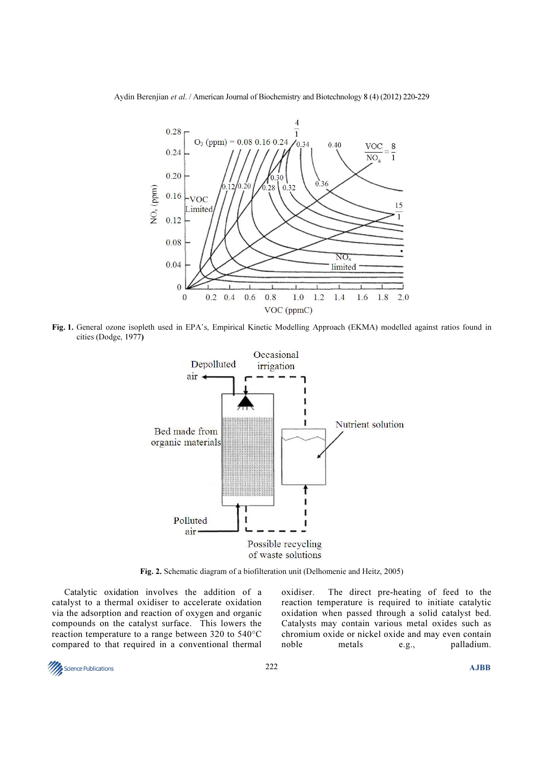Aydin Berenjian et al. / American Journal of Biochemistry and Biotechnology 8 (4) (2012) 220-229



Fig. 1. General ozone isopleth used in EPA's, Empirical Kinetic Modelling Approach (EKMA) modelled against ratios found in cities (Dodge, 1977)



Fig. 2. Schematic diagram of a biofilteration unit (Delhomenie and Heitz, 2005)

Catalytic oxidation involves the addition of a catalyst to a thermal oxidiser to accelerate oxidation via the adsorption and reaction of oxygen and organic compounds on the catalyst surface. This lowers the reaction temperature to a range between 320 to 540°C compared to that required in a conventional thermal oxidiser. The direct pre-heating of feed to the reaction temperature is required to initiate catalytic oxidation when passed through a solid catalyst bed. Catalysts may contain various metal oxides such as chromium oxide or nickel oxide and may even contain noble metals e.g., palladium.

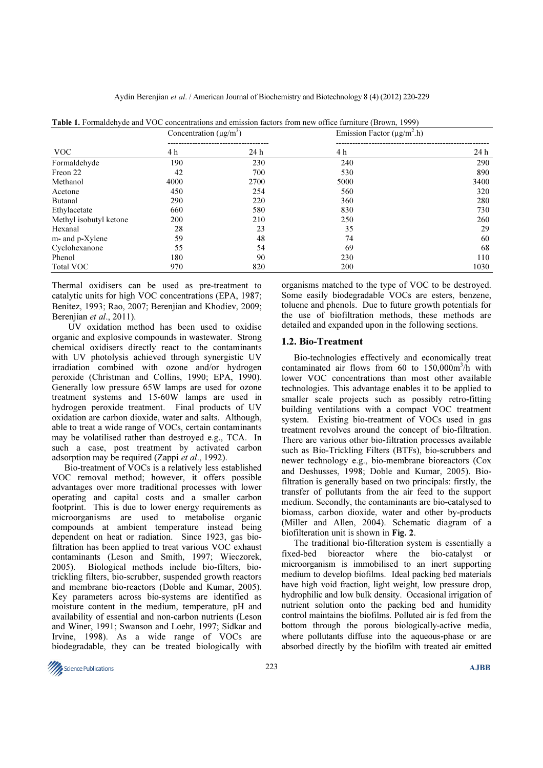Aydin Berenjian et al. / American Journal of Biochemistry and Biotechnology 8 (4) (2012) 220-229

| <b>VOC</b>             | Concentration $(\mu g/m^3)$ |      | Emission Factor ( $\mu$ g/m <sup>2</sup> .h) |      |
|------------------------|-----------------------------|------|----------------------------------------------|------|
|                        |                             |      |                                              |      |
|                        | 4 h                         | 24h  | 4 h                                          | 24 h |
| Formaldehyde           | 190                         | 230  | 240                                          | 290  |
| Freon 22               | 42                          | 700  | 530                                          | 890  |
| Methanol               | 4000                        | 2700 | 5000                                         | 3400 |
| Acetone                | 450                         | 254  | 560                                          | 320  |
| Butanal                | 290                         | 220  | 360                                          | 280  |
| Ethylacetate           | 660                         | 580  | 830                                          | 730  |
| Methyl isobutyl ketone | 200                         | 210  | 250                                          | 260  |
| Hexanal                | 28                          | 23   | 35                                           | 29   |
| m- and p-Xylene        | 59                          | 48   | 74                                           | 60   |
| Cyclohexanone          | 55                          | 54   | 69                                           | 68   |
| Phenol                 | 180                         | 90   | 230                                          | 110  |
| <b>Total VOC</b>       | 970                         | 820  | 200                                          | 1030 |

Table 1. Formaldehyde and VOC concentrations and emission factors from new office furniture (Brown, 1999)

Thermal oxidisers can be used as pre-treatment to catalytic units for high VOC concentrations (EPA, 1987; Benitez, 1993; Rao, 2007; Berenjian and Khodiev, 2009; Berenjian et al., 2011).

 UV oxidation method has been used to oxidise organic and explosive compounds in wastewater. Strong chemical oxidisers directly react to the contaminants with UV photolysis achieved through synergistic UV irradiation combined with ozone and/or hydrogen peroxide (Christman and Collins, 1990; EPA, 1990). Generally low pressure 65W lamps are used for ozone treatment systems and 15-60W lamps are used in hydrogen peroxide treatment. Final products of UV oxidation are carbon dioxide, water and salts. Although, able to treat a wide range of VOCs, certain contaminants may be volatilised rather than destroyed e.g., TCA. In such a case, post treatment by activated carbon adsorption may be required (Zappi et al., 1992).

Bio-treatment of VOCs is a relatively less established VOC removal method; however, it offers possible advantages over more traditional processes with lower operating and capital costs and a smaller carbon footprint. This is due to lower energy requirements as microorganisms are used to metabolise organic compounds at ambient temperature instead being dependent on heat or radiation. Since 1923, gas biofiltration has been applied to treat various VOC exhaust contaminants (Leson and Smith, 1997; Wieczorek, 2005). Biological methods include bio-filters, biotrickling filters, bio-scrubber, suspended growth reactors and membrane bio-reactors (Doble and Kumar, 2005). Key parameters across bio-systems are identified as moisture content in the medium, temperature, pH and availability of essential and non-carbon nutrients (Leson and Winer, 1991; Swanson and Loehr, 1997; Sidkar and Irvine, 1998). As a wide range of VOCs are biodegradable, they can be treated biologically with

organisms matched to the type of VOC to be destroyed. Some easily biodegradable VOCs are esters, benzene, toluene and phenols. Due to future growth potentials for the use of biofiltration methods, these methods are detailed and expanded upon in the following sections.

#### 1.2. Bio-Treatment

Bio-technologies effectively and economically treat contaminated air flows from 60 to  $150,000$ m<sup>3</sup>/h with lower VOC concentrations than most other available technologies. This advantage enables it to be applied to smaller scale projects such as possibly retro-fitting building ventilations with a compact VOC treatment system. Existing bio-treatment of VOCs used in gas treatment revolves around the concept of bio-filtration. There are various other bio-filtration processes available such as Bio-Trickling Filters (BTFs), bio-scrubbers and newer technology e.g., bio-membrane bioreactors (Cox and Deshusses, 1998; Doble and Kumar, 2005). Biofiltration is generally based on two principals: firstly, the transfer of pollutants from the air feed to the support medium. Secondly, the contaminants are bio-catalysed to biomass, carbon dioxide, water and other by-products (Miller and Allen, 2004). Schematic diagram of a biofilteration unit is shown in Fig. 2.

The traditional bio-filteration system is essentially a fixed-bed bioreactor where the bio-catalyst or microorganism is immobilised to an inert supporting medium to develop biofilms. Ideal packing bed materials have high void fraction, light weight, low pressure drop, hydrophilic and low bulk density. Occasional irrigation of nutrient solution onto the packing bed and humidity control maintains the biofilms. Polluted air is fed from the bottom through the porous biologically-active media, where pollutants diffuse into the aqueous-phase or are absorbed directly by the biofilm with treated air emitted

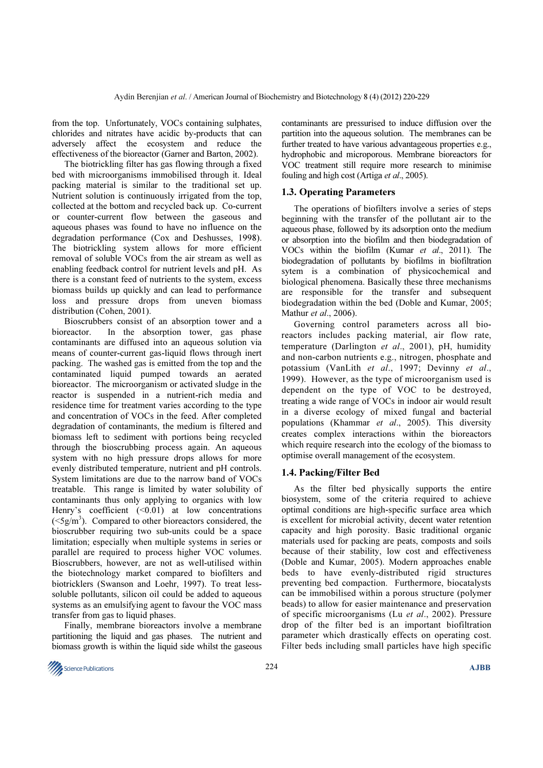from the top. Unfortunately, VOCs containing sulphates, chlorides and nitrates have acidic by-products that can adversely affect the ecosystem and reduce the effectiveness of the bioreactor (Garner and Barton, 2002).

The biotrickling filter has gas flowing through a fixed bed with microorganisms immobilised through it. Ideal packing material is similar to the traditional set up. Nutrient solution is continuously irrigated from the top, collected at the bottom and recycled back up. Co-current or counter-current flow between the gaseous and aqueous phases was found to have no influence on the degradation performance (Cox and Deshusses, 1998). The biotrickling system allows for more efficient removal of soluble VOCs from the air stream as well as enabling feedback control for nutrient levels and pH. As there is a constant feed of nutrients to the system, excess biomass builds up quickly and can lead to performance loss and pressure drops from uneven biomass distribution (Cohen, 2001).

Bioscrubbers consist of an absorption tower and a bioreactor. In the absorption tower, gas phase contaminants are diffused into an aqueous solution via means of counter-current gas-liquid flows through inert packing. The washed gas is emitted from the top and the contaminated liquid pumped towards an aerated bioreactor. The microorganism or activated sludge in the reactor is suspended in a nutrient-rich media and residence time for treatment varies according to the type and concentration of VOCs in the feed. After completed degradation of contaminants, the medium is filtered and biomass left to sediment with portions being recycled through the bioscrubbing process again. An aqueous system with no high pressure drops allows for more evenly distributed temperature, nutrient and pH controls. System limitations are due to the narrow band of VOCs treatable. This range is limited by water solubility of contaminants thus only applying to organics with low Henry's coefficient  $(\leq 0.01)$  at low concentrations  $(<5g/m<sup>3</sup>)$ . Compared to other bioreactors considered, the bioscrubber requiring two sub-units could be a space limitation; especially when multiple systems in series or parallel are required to process higher VOC volumes. Bioscrubbers, however, are not as well-utilised within the biotechnology market compared to biofilters and biotricklers (Swanson and Loehr, 1997). To treat lesssoluble pollutants, silicon oil could be added to aqueous systems as an emulsifying agent to favour the VOC mass transfer from gas to liquid phases.

Finally, membrane bioreactors involve a membrane partitioning the liquid and gas phases. The nutrient and biomass growth is within the liquid side whilst the gaseous contaminants are pressurised to induce diffusion over the partition into the aqueous solution. The membranes can be further treated to have various advantageous properties e.g., hydrophobic and microporous. Membrane bioreactors for VOC treatment still require more research to minimise fouling and high cost (Artiga et al., 2005).

## 1.3. Operating Parameters

The operations of biofilters involve a series of steps beginning with the transfer of the pollutant air to the aqueous phase, followed by its adsorption onto the medium or absorption into the biofilm and then biodegradation of VOCs within the biofilm (Kumar et al., 2011). The biodegradation of pollutants by biofilms in biofiltration sytem is a combination of physicochemical and biological phenomena. Basically these three mechanisms are responsible for the transfer and subsequent biodegradation within the bed (Doble and Kumar, 2005; Mathur et al., 2006).

Governing control parameters across all bioreactors includes packing material, air flow rate, temperature (Darlington et al., 2001), pH, humidity and non-carbon nutrients e.g., nitrogen, phosphate and potassium (VanLith et al., 1997; Devinny et al., 1999). However, as the type of microorganism used is dependent on the type of VOC to be destroyed, treating a wide range of VOCs in indoor air would result in a diverse ecology of mixed fungal and bacterial populations (Khammar et al., 2005). This diversity creates complex interactions within the bioreactors which require research into the ecology of the biomass to optimise overall management of the ecosystem.

## 1.4. Packing/Filter Bed

As the filter bed physically supports the entire biosystem, some of the criteria required to achieve optimal conditions are high-specific surface area which is excellent for microbial activity, decent water retention capacity and high porosity. Basic traditional organic materials used for packing are peats, composts and soils because of their stability, low cost and effectiveness (Doble and Kumar, 2005). Modern approaches enable beds to have evenly-distributed rigid structures preventing bed compaction. Furthermore, biocatalysts can be immobilised within a porous structure (polymer beads) to allow for easier maintenance and preservation of specific microorganisms (Lu et al., 2002). Pressure drop of the filter bed is an important biofiltration parameter which drastically effects on operating cost. Filter beds including small particles have high specific

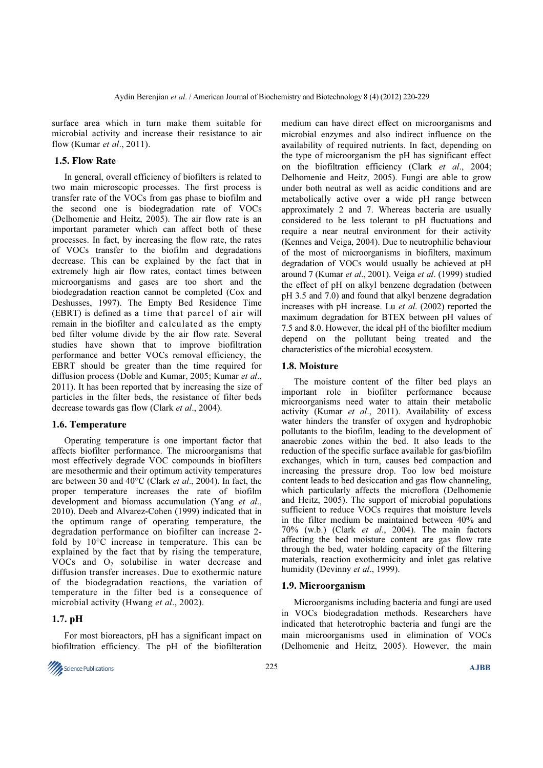surface area which in turn make them suitable for microbial activity and increase their resistance to air flow (Kumar et al., 2011).

#### 1.5. Flow Rate

In general, overall efficiency of biofilters is related to two main microscopic processes. The first process is transfer rate of the VOCs from gas phase to biofilm and the second one is biodegradation rate of VOCs (Delhomenie and Heitz, 2005). The air flow rate is an important parameter which can affect both of these processes. In fact, by increasing the flow rate, the rates of VOCs transfer to the biofilm and degradations decrease. This can be explained by the fact that in extremely high air flow rates, contact times between microorganisms and gases are too short and the biodegradation reaction cannot be completed (Cox and Deshusses, 1997). The Empty Bed Residence Time (EBRT) is defined as a time that parcel of air will remain in the biofilter and calculated as the empty bed filter volume divide by the air flow rate. Several studies have shown that to improve biofiltration performance and better VOCs removal efficiency, the EBRT should be greater than the time required for diffusion process (Doble and Kumar, 2005; Kumar et al., 2011). It has been reported that by increasing the size of particles in the filter beds, the resistance of filter beds decrease towards gas flow (Clark et al., 2004).

#### 1.6. Temperature

Operating temperature is one important factor that affects biofilter performance. The microorganisms that most effectively degrade VOC compounds in biofilters are mesothermic and their optimum activity temperatures are between 30 and 40°C (Clark et al., 2004). In fact, the proper temperature increases the rate of biofilm development and biomass accumulation (Yang et al., 2010). Deeb and Alvarez-Cohen (1999) indicated that in the optimum range of operating temperature, the degradation performance on biofilter can increase 2 fold by 10°C increase in temperature. This can be explained by the fact that by rising the temperature, VOCs and  $O<sub>2</sub>$  solubilise in water decrease and diffusion transfer increases. Due to exothermic nature of the biodegradation reactions, the variation of temperature in the filter bed is a consequence of microbial activity (Hwang et al., 2002).

#### 1.7. pH

For most bioreactors, pH has a significant impact on biofiltration efficiency. The pH of the biofilteration



medium can have direct effect on microorganisms and microbial enzymes and also indirect influence on the availability of required nutrients. In fact, depending on the type of microorganism the pH has significant effect on the biofiltration efficiency (Clark et al., 2004; Delhomenie and Heitz, 2005). Fungi are able to grow under both neutral as well as acidic conditions and are metabolically active over a wide pH range between approximately 2 and 7. Whereas bacteria are usually considered to be less tolerant to pH fluctuations and require a near neutral environment for their activity (Kennes and Veiga, 2004). Due to neutrophilic behaviour of the most of microorganisms in biofilters, maximum degradation of VOCs would usually be achieved at pH around 7 (Kumar et al., 2001). Veiga et al. (1999) studied the effect of pH on alkyl benzene degradation (between pH 3.5 and 7.0) and found that alkyl benzene degradation increases with pH increase. Lu et al. (2002) reported the maximum degradation for BTEX between pH values of 7.5 and 8.0. However, the ideal pH of the biofilter medium depend on the pollutant being treated and the characteristics of the microbial ecosystem.

#### 1.8. Moisture

The moisture content of the filter bed plays an important role in biofilter performance because microorganisms need water to attain their metabolic activity (Kumar et al., 2011). Availability of excess water hinders the transfer of oxygen and hydrophobic pollutants to the biofilm, leading to the development of anaerobic zones within the bed. It also leads to the reduction of the specific surface available for gas/biofilm exchanges, which in turn, causes bed compaction and increasing the pressure drop. Too low bed moisture content leads to bed desiccation and gas flow channeling, which particularly affects the microflora (Delhomenie and Heitz, 2005). The support of microbial populations sufficient to reduce VOCs requires that moisture levels in the filter medium be maintained between 40% and 70% (w.b.) (Clark et al., 2004). The main factors affecting the bed moisture content are gas flow rate through the bed, water holding capacity of the filtering materials, reaction exothermicity and inlet gas relative humidity (Devinny et al., 1999).

#### 1.9. Microorganism

Microorganisms including bacteria and fungi are used in VOCs biodegradation methods. Researchers have indicated that heterotrophic bacteria and fungi are the main microorganisms used in elimination of VOCs (Delhomenie and Heitz, 2005). However, the main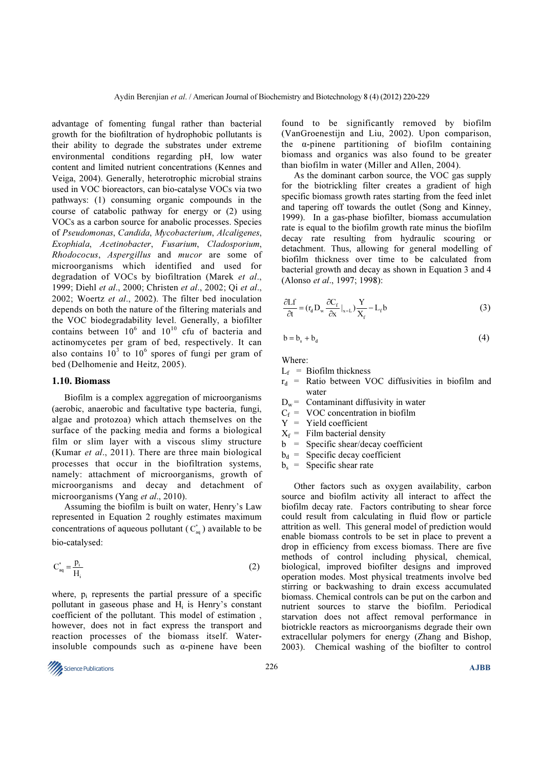advantage of fomenting fungal rather than bacterial growth for the biofiltration of hydrophobic pollutants is their ability to degrade the substrates under extreme environmental conditions regarding pH, low water content and limited nutrient concentrations (Kennes and Veiga, 2004). Generally, heterotrophic microbial strains used in VOC bioreactors, can bio-catalyse VOCs via two pathways: (1) consuming organic compounds in the course of catabolic pathway for energy or (2) using VOCs as a carbon source for anabolic processes. Species of Pseudomonas, Candida, Mycobacterium, Alcaligenes, Exophiala, Acetinobacter, Fusarium, Cladosporium, Rhodococus, Aspergillus and mucor are some of microorganisms which identified and used for degradation of VOCs by biofiltration (Marek et al., 1999; Diehl et al., 2000; Christen et al., 2002; Qi et al., 2002; Woertz et al., 2002). The filter bed inoculation depends on both the nature of the filtering materials and the VOC biodegradability level. Generally, a biofilter contains between  $10^6$  and  $10^{10}$  cfu of bacteria and actinomycetes per gram of bed, respectively. It can also contains  $10^3$  to  $10^6$  spores of fungi per gram of bed (Delhomenie and Heitz, 2005).

#### 1.10. Biomass

Biofilm is a complex aggregation of microorganisms (aerobic, anaerobic and facultative type bacteria, fungi, algae and protozoa) which attach themselves on the surface of the packing media and forms a biological film or slim layer with a viscous slimy structure (Kumar et al., 2011). There are three main biological processes that occur in the biofiltration systems, namely: attachment of microorganisms, growth of microorganisms and decay and detachment of microorganisms (Yang *et al.*, 2010).

Assuming the biofilm is built on water, Henry's Law represented in Equation 2 roughly estimates maximum concentrations of aqueous pollutant  $(C_{\alpha}^{*})$  available to be bio-catalysed:

$$
C_{aq}^* = \frac{p_i}{H_i} \tag{2}
$$

where,  $p_i$  represents the partial pressure of a specific pollutant in gaseous phase and  $H_i$  is Henry's constant coefficient of the pollutant. This model of estimation , however, does not in fact express the transport and reaction processes of the biomass itself. Waterinsoluble compounds such as  $\alpha$ -pinene have been

found to be significantly removed by biofilm (VanGroenestijn and Liu, 2002). Upon comparison, the α-pinene partitioning of biofilm containing biomass and organics was also found to be greater than biofilm in water (Miller and Allen, 2004).

As the dominant carbon source, the VOC gas supply for the biotrickling filter creates a gradient of high specific biomass growth rates starting from the feed inlet and tapering off towards the outlet (Song and Kinney, 1999). In a gas-phase biofilter, biomass accumulation rate is equal to the biofilm growth rate minus the biofilm decay rate resulting from hydraulic scouring or detachment. Thus, allowing for general modelling of biofilm thickness over time to be calculated from bacterial growth and decay as shown in Equation 3 and 4 (Alonso et al., 1997; 1998):

$$
\frac{\partial Lf}{\partial t} = (r_{d} D_{w} \frac{\partial C_{f}}{\partial x}|_{x=L}) \frac{Y}{X_{f}} - L_{f} b
$$
\n(3)

$$
b = b_s + b_d \tag{4}
$$

Where:

- $L_f$  = Biofilm thickness
- $r_d$  = Ratio between VOC diffusivities in biofilm and water
- $D_w$  = Contaminant diffusivity in water
- $C_f$  = VOC concentration in biofilm
- Y = Yield coefficient
- $X_f$  = Film bacterial density
- b = Specific shear/decay coefficient
- $b_d$  = Specific decay coefficient
- $b_s$  = Specific shear rate

Other factors such as oxygen availability, carbon source and biofilm activity all interact to affect the biofilm decay rate. Factors contributing to shear force could result from calculating in fluid flow or particle attrition as well. This general model of prediction would enable biomass controls to be set in place to prevent a drop in efficiency from excess biomass. There are five methods of control including physical, chemical, biological, improved biofilter designs and improved operation modes. Most physical treatments involve bed stirring or backwashing to drain excess accumulated biomass. Chemical controls can be put on the carbon and nutrient sources to starve the biofilm. Periodical starvation does not affect removal performance in biotrickle reactors as microorganisms degrade their own extracellular polymers for energy (Zhang and Bishop, 2003). Chemical washing of the biofilter to control

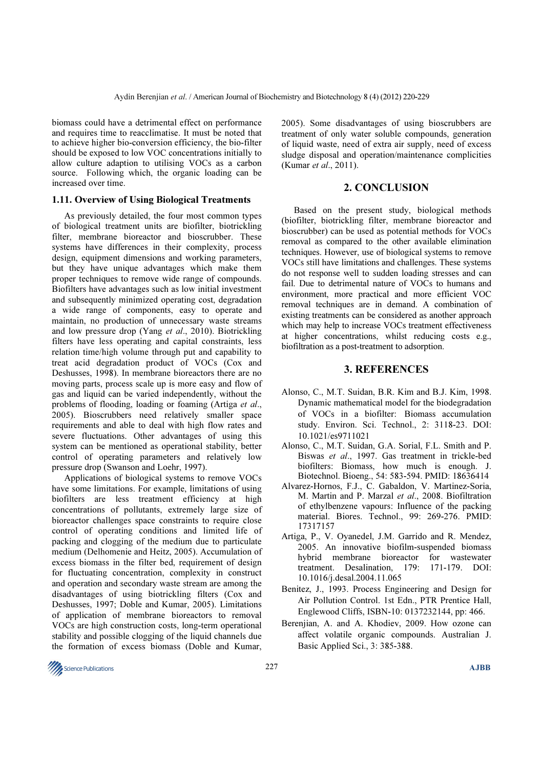biomass could have a detrimental effect on performance and requires time to reacclimatise. It must be noted that to achieve higher bio-conversion efficiency, the bio-filter should be exposed to low VOC concentrations initially to allow culture adaption to utilising VOCs as a carbon source. Following which, the organic loading can be increased over time.

#### 1.11. Overview of Using Biological Treatments

As previously detailed, the four most common types of biological treatment units are biofilter, biotrickling filter, membrane bioreactor and bioscrubber. These systems have differences in their complexity, process design, equipment dimensions and working parameters, but they have unique advantages which make them proper techniques to remove wide range of compounds. Biofilters have advantages such as low initial investment and subsequently minimized operating cost, degradation a wide range of components, easy to operate and maintain, no production of unnecessary waste streams and low pressure drop (Yang et al., 2010). Biotrickling filters have less operating and capital constraints, less relation time/high volume through put and capability to treat acid degradation product of VOCs (Cox and Deshusses, 1998). In membrane bioreactors there are no moving parts, process scale up is more easy and flow of gas and liquid can be varied independently, without the problems of flooding, loading or foaming (Artiga et al., 2005). Bioscrubbers need relatively smaller space requirements and able to deal with high flow rates and severe fluctuations. Other advantages of using this system can be mentioned as operational stability, better control of operating parameters and relatively low pressure drop (Swanson and Loehr, 1997).

Applications of biological systems to remove VOCs have some limitations. For example, limitations of using biofilters are less treatment efficiency at high concentrations of pollutants, extremely large size of bioreactor challenges space constraints to require close control of operating conditions and limited life of packing and clogging of the medium due to particulate medium (Delhomenie and Heitz, 2005). Accumulation of excess biomass in the filter bed, requirement of design for fluctuating concentration, complexity in construct and operation and secondary waste stream are among the disadvantages of using biotrickling filters (Cox and Deshusses, 1997; Doble and Kumar, 2005). Limitations of application of membrane bioreactors to removal VOCs are high construction costs, long-term operational stability and possible clogging of the liquid channels due the formation of excess biomass (Doble and Kumar,

2005). Some disadvantages of using bioscrubbers are treatment of only water soluble compounds, generation of liquid waste, need of extra air supply, need of excess sludge disposal and operation/maintenance complicities (Kumar et al., 2011).

## 2. CONCLUSION

Based on the present study, biological methods (biofilter, biotrickling filter, membrane bioreactor and bioscrubber) can be used as potential methods for VOCs removal as compared to the other available elimination techniques. However, use of biological systems to remove VOCs still have limitations and challenges. These systems do not response well to sudden loading stresses and can fail. Due to detrimental nature of VOCs to humans and environment, more practical and more efficient VOC removal techniques are in demand. A combination of existing treatments can be considered as another approach which may help to increase VOCs treatment effectiveness at higher concentrations, whilst reducing costs e.g., biofiltration as a post-treatment to adsorption.

### 3. REFERENCES

- Alonso, C., M.T. Suidan, B.R. Kim and B.J. Kim, 1998. Dynamic mathematical model for the biodegradation of VOCs in a biofilter: Biomass accumulation study. Environ. Sci. Technol., 2: 3118-23. DOI: 10.1021/es9711021
- Alonso, C., M.T. Suidan, G.A. Sorial, F.L. Smith and P. Biswas et al., 1997. Gas treatment in trickle-bed biofilters: Biomass, how much is enough. J. Biotechnol. Bioeng., 54: 583-594. PMID: 18636414
- Alvarez-Hornos, F.J., C. Gabaldon, V. Martinez-Soria, M. Martin and P. Marzal et al., 2008. Biofiltration of ethylbenzene vapours: Influence of the packing material. Biores. Technol., 99: 269-276. PMID: 17317157
- Artiga, P., V. Oyanedel, J.M. Garrido and R. Mendez, 2005. An innovative biofilm-suspended biomass hybrid membrane bioreactor for wastewater treatment. Desalination, 179: 171-179. DOI: 10.1016/j.desal.2004.11.065
- Benitez, J., 1993. Process Engineering and Design for Air Pollution Control. 1st Edn., PTR Prentice Hall, Englewood Cliffs, ISBN-10: 0137232144, pp: 466.
- Berenjian, A. and A. Khodiev, 2009. How ozone can affect volatile organic compounds. Australian J. Basic Applied Sci., 3: 385-388.

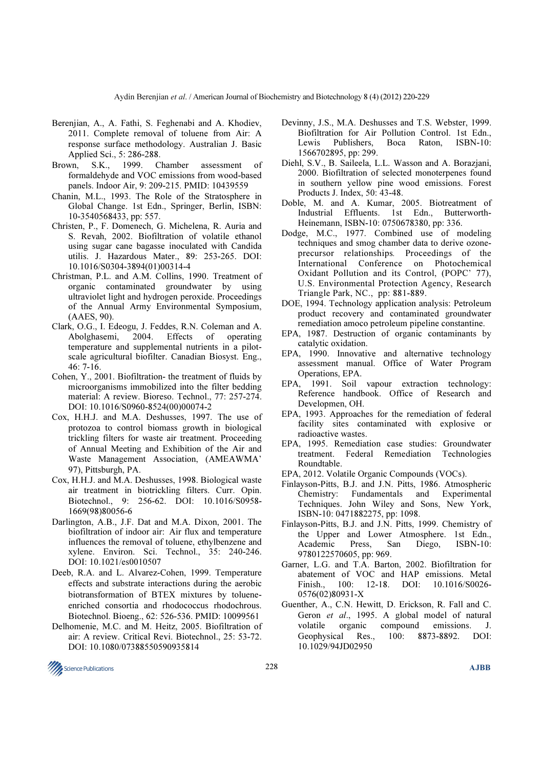- Berenjian, A., A. Fathi, S. Feghenabi and A. Khodiev, 2011. Complete removal of toluene from Air: A response surface methodology. Australian J. Basic Applied Sci., 5: 286-288.
- Brown, S.K., 1999. Chamber assessment of formaldehyde and VOC emissions from wood-based panels. Indoor Air, 9: 209-215. PMID: 10439559
- Chanin, M.L., 1993. The Role of the Stratosphere in Global Change. 1st Edn., Springer, Berlin, ISBN: 10-3540568433, pp: 557.
- Christen, P., F. Domenech, G. Michelena, R. Auria and S. Revah, 2002. Biofiltration of volatile ethanol using sugar cane bagasse inoculated with Candida utilis. J. Hazardous Mater., 89: 253-265. DOI: 10.1016/S0304-3894(01)00314-4
- Christman, P.L. and A.M. Collins, 1990. Treatment of organic contaminated groundwater by using ultraviolet light and hydrogen peroxide. Proceedings of the Annual Army Environmental Symposium, (AAES, 90).
- Clark, O.G., I. Edeogu, J. Feddes, R.N. Coleman and A. Abolghasemi, 2004. Effects of operating temperature and supplemental nutrients in a pilotscale agricultural biofilter. Canadian Biosyst. Eng., 46: 7-16.
- Cohen, Y., 2001. Biofiltration- the treatment of fluids by microorganisms immobilized into the filter bedding material: A review. Bioreso. Technol., 77: 257-274. DOI: 10.1016/S0960-8524(00)00074-2
- Cox, H.H.J. and M.A. Deshusses, 1997. The use of protozoa to control biomass growth in biological trickling filters for waste air treatment. Proceeding of Annual Meeting and Exhibition of the Air and Waste Management Association, (AMEAWMA' 97), Pittsburgh, PA.
- Cox, H.H.J. and M.A. Deshusses, 1998. Biological waste air treatment in biotrickling filters. Curr. Opin. Biotechnol., 9: 256-62. DOI: 10.1016/S0958- 1669(98)80056-6
- Darlington, A.B., J.F. Dat and M.A. Dixon, 2001. The biofiltration of indoor air: Air flux and temperature influences the removal of toluene, ethylbenzene and xylene. Environ. Sci. Technol., 35: 240-246. DOI: 10.1021/es0010507
- Deeb, R.A. and L. Alvarez-Cohen, 1999. Temperature effects and substrate interactions during the aerobic biotransformation of BTEX mixtures by tolueneenriched consortia and rhodococcus rhodochrous. Biotechnol. Bioeng., 62: 526-536. PMID: 10099561
- Delhomenie, M.C. and M. Heitz, 2005. Biofiltration of air: A review. Critical Revi. Biotechnol., 25: 53-72. DOI: 10.1080/07388550590935814
- Devinny, J.S., M.A. Deshusses and T.S. Webster, 1999. Biofiltration for Air Pollution Control. 1st Edn., Lewis Publishers, Boca Raton, ISBN-10: 1566702895, pp: 299.
- Diehl, S.V., B. Saileela, L.L. Wasson and A. Borazjani, 2000. Biofiltration of selected monoterpenes found in southern yellow pine wood emissions. Forest Products J. Index, 50: 43-48.
- Doble, M. and A. Kumar, 2005. Biotreatment of Industrial Effluents. 1st Edn., Butterworth-Heinemann, ISBN-10: 0750678380, pp: 336.
- Dodge, M.C., 1977. Combined use of modeling techniques and smog chamber data to derive ozoneprecursor relationships. Proceedings of the International Conference on Photochemical Oxidant Pollution and its Control, (POPC' 77), U.S. Environmental Protection Agency, Research Triangle Park, NC., pp: 881-889.
- DOE, 1994. Technology application analysis: Petroleum product recovery and contaminated groundwater remediation amoco petroleum pipeline constantine.
- EPA, 1987. Destruction of organic contaminants by catalytic oxidation.
- EPA, 1990. Innovative and alternative technology assessment manual. Office of Water Program Operations, EPA.
- EPA, 1991. Soil vapour extraction technology: Reference handbook. Office of Research and Developmen, OH.
- EPA, 1993. Approaches for the remediation of federal facility sites contaminated with explosive or radioactive wastes.
- EPA, 1995. Remediation case studies: Groundwater treatment. Federal Remediation Technologies Roundtable.
- EPA, 2012. Volatile Organic Compounds (VOCs).
- Finlayson-Pitts, B.J. and J.N. Pitts, 1986. Atmospheric Chemistry: Fundamentals and Experimental Techniques. John Wiley and Sons, New York, ISBN-10: 0471882275, pp: 1098.
- Finlayson-Pitts, B.J. and J.N. Pitts, 1999. Chemistry of the Upper and Lower Atmosphere. 1st Edn., Academic Press, San Diego, ISBN-10: 9780122570605, pp: 969.
- Garner, L.G. and T.A. Barton, 2002. Biofiltration for abatement of VOC and HAP emissions. Metal Finish., 100: 12-18. DOI: 10.1016/S0026- 0576(02)80931-X
- Guenther, A., C.N. Hewitt, D. Erickson, R. Fall and C. Geron et al., 1995. A global model of natural volatile organic compound emissions. J. Geophysical Res., 100: 8873-8892. DOI: 10.1029/94JD02950